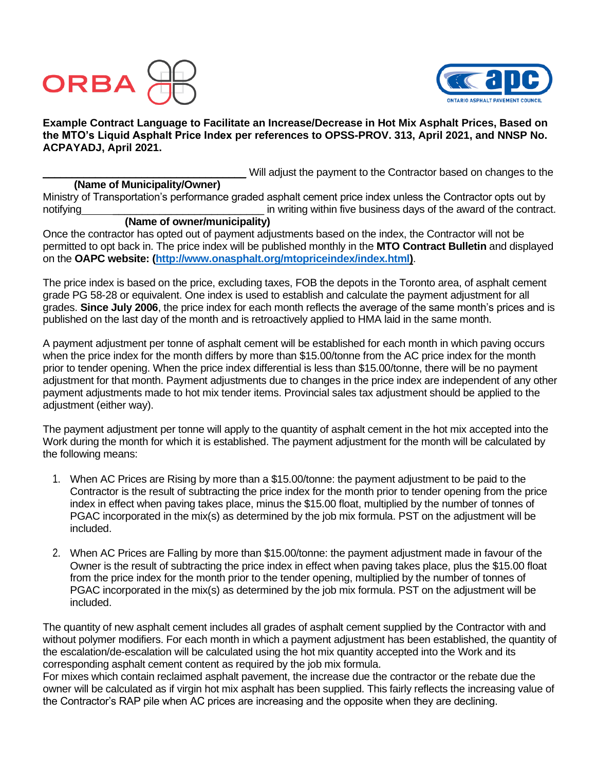



**Example Contract Language to Facilitate an Increase/Decrease in Hot Mix Asphalt Prices, Based on the MTO's Liquid Asphalt Price Index per references to OPSS-PROV. 313, April 2021, and NNSP No. ACPAYADJ, April 2021.**

Will adjust the payment to the Contractor based on changes to the

### **(Name of Municipality/Owner)**

Ministry of Transportation's performance graded asphalt cement price index unless the Contractor opts out by notifying method of the contract.

# **(Name of owner/municipality)**

Once the contractor has opted out of payment adjustments based on the index, the Contractor will not be permitted to opt back in. The price index will be published monthly in the **MTO Contract Bulletin** and displayed on the **OAPC website: [\(http://www.onasphalt.org/mtopriceindex/index.html\)](http://www.onasphalt.org/mtopriceindex/index.html)**.

The price index is based on the price, excluding taxes, FOB the depots in the Toronto area, of asphalt cement grade PG 58-28 or equivalent. One index is used to establish and calculate the payment adjustment for all grades. **Since July 2006**, the price index for each month reflects the average of the same month's prices and is published on the last day of the month and is retroactively applied to HMA laid in the same month.

A payment adjustment per tonne of asphalt cement will be established for each month in which paving occurs when the price index for the month differs by more than \$15.00/tonne from the AC price index for the month prior to tender opening. When the price index differential is less than \$15.00/tonne, there will be no payment adjustment for that month. Payment adjustments due to changes in the price index are independent of any other payment adjustments made to hot mix tender items. Provincial sales tax adjustment should be applied to the adjustment (either way).

The payment adjustment per tonne will apply to the quantity of asphalt cement in the hot mix accepted into the Work during the month for which it is established. The payment adjustment for the month will be calculated by the following means:

- 1. When AC Prices are Rising by more than a \$15.00/tonne: the payment adjustment to be paid to the Contractor is the result of subtracting the price index for the month prior to tender opening from the price index in effect when paving takes place, minus the \$15.00 float, multiplied by the number of tonnes of PGAC incorporated in the mix(s) as determined by the job mix formula. PST on the adjustment will be included.
- 2. When AC Prices are Falling by more than \$15.00/tonne: the payment adjustment made in favour of the Owner is the result of subtracting the price index in effect when paving takes place, plus the \$15.00 float from the price index for the month prior to the tender opening, multiplied by the number of tonnes of PGAC incorporated in the mix(s) as determined by the job mix formula. PST on the adjustment will be included.

The quantity of new asphalt cement includes all grades of asphalt cement supplied by the Contractor with and without polymer modifiers. For each month in which a payment adjustment has been established, the quantity of the escalation/de-escalation will be calculated using the hot mix quantity accepted into the Work and its corresponding asphalt cement content as required by the job mix formula.

For mixes which contain reclaimed asphalt pavement, the increase due the contractor or the rebate due the owner will be calculated as if virgin hot mix asphalt has been supplied. This fairly reflects the increasing value of the Contractor's RAP pile when AC prices are increasing and the opposite when they are declining.